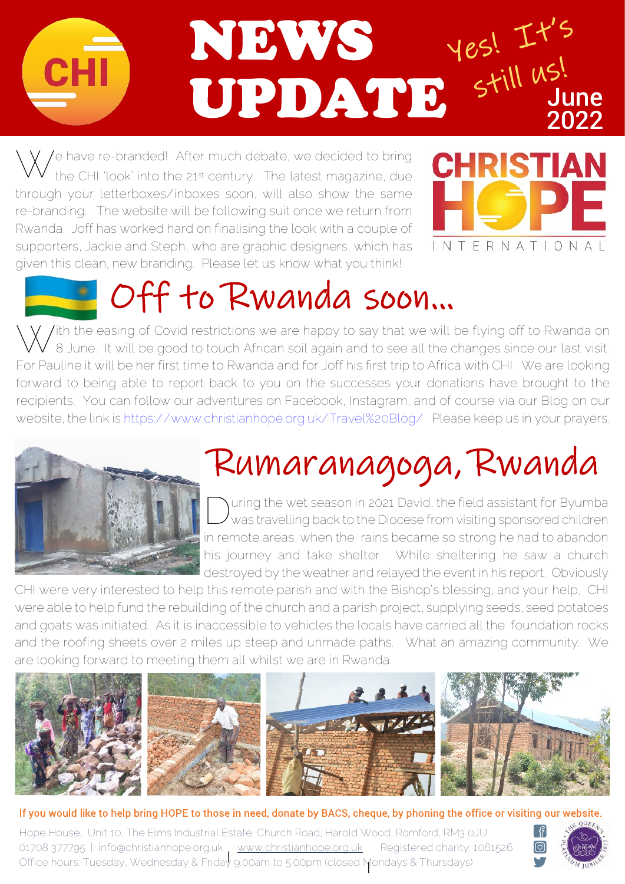

the CHI 'look' into the 21st century. The latest magazine, due through your letterboxes/inboxes soon, will also show the same re-branding. The website will be following suit once we return from Rwanda. Joff has worked hard on finalising the look with a couple of supporters, Jackie and Steph, who are graphic designers, which has given this clean, new branding. Please let us know what you think!



## Off to Rwanda soon...

 $^{\prime}$  /ith the easing of Covid restrictions we are happy to say that we will be flying off to Rwanda on 8 June. It will be good to touch African soil again and to see all the changes since our last visit. For Pauline it will be her first time to Rwanda and for Joff his first trip to Africa with CHI. We are looking forward to being able to report back to you on the successes your donations have brought to the recipients. You can follow our adventures on Facebook, Instagram, and of course via our Blog on our website, the link i[s https://www.christianhope.org.uk/Travel%20Blog/](https://www.christianhope.org.uk/Travel%20Blog/) Please keep us in your prayers.



## Rumaranagoga, Rwanda

 $\begin{picture}(22,20) \put(0,0){\line(1,0){10}} \put(15,0){\line(1,0){10}} \put(15,0){\line(1,0){10}} \put(15,0){\line(1,0){10}} \put(15,0){\line(1,0){10}} \put(15,0){\line(1,0){10}} \put(15,0){\line(1,0){10}} \put(15,0){\line(1,0){10}} \put(15,0){\line(1,0){10}} \put(15,0){\line(1,0){10}} \put(15,0){\line(1,0){10}} \put(15,0){\line(1$ uring the wet season in 2021 David, the field assistant for Byumba was travelling back to the Diocese from visiting sponsored children in remote areas, when the rains became so strong he had to abandon his journey and take shelter. While sheltering he saw a church destroyed by the weather and relayed the event in his report. Obviously

CHI were very interested to help this remote parish and with the Bishop's blessing, and your help, CHI were able to help fund the rebuilding of the church and a parish project, supplying seeds, seed potatoes and goats was initiated. As it is inaccessible to vehicles the locals have carried all the foundation rocks and the roofing sheets over 2 miles up steep and unmade paths. What an amazing community. We are looking forward to meeting them all whilst we are in Rwanda.



## If you would like to help bring HOPE to those in need, donate by BACS, cheque, by phoning the office or visiting our website.

Hope House, Unit 10, The Elms Industrial Estate, Church Road, Harold Wood, Romford, RM3 0JU 01708 377795 | info@christianhope.org.uk [|](www.christianhope.org.uk) www.christianhope.org.uk Registered charity: 1061526 | Office hours: Tuesday, Wednesday & Friday 9.00am to 5.00pm (closed Mondays & Thursdays)